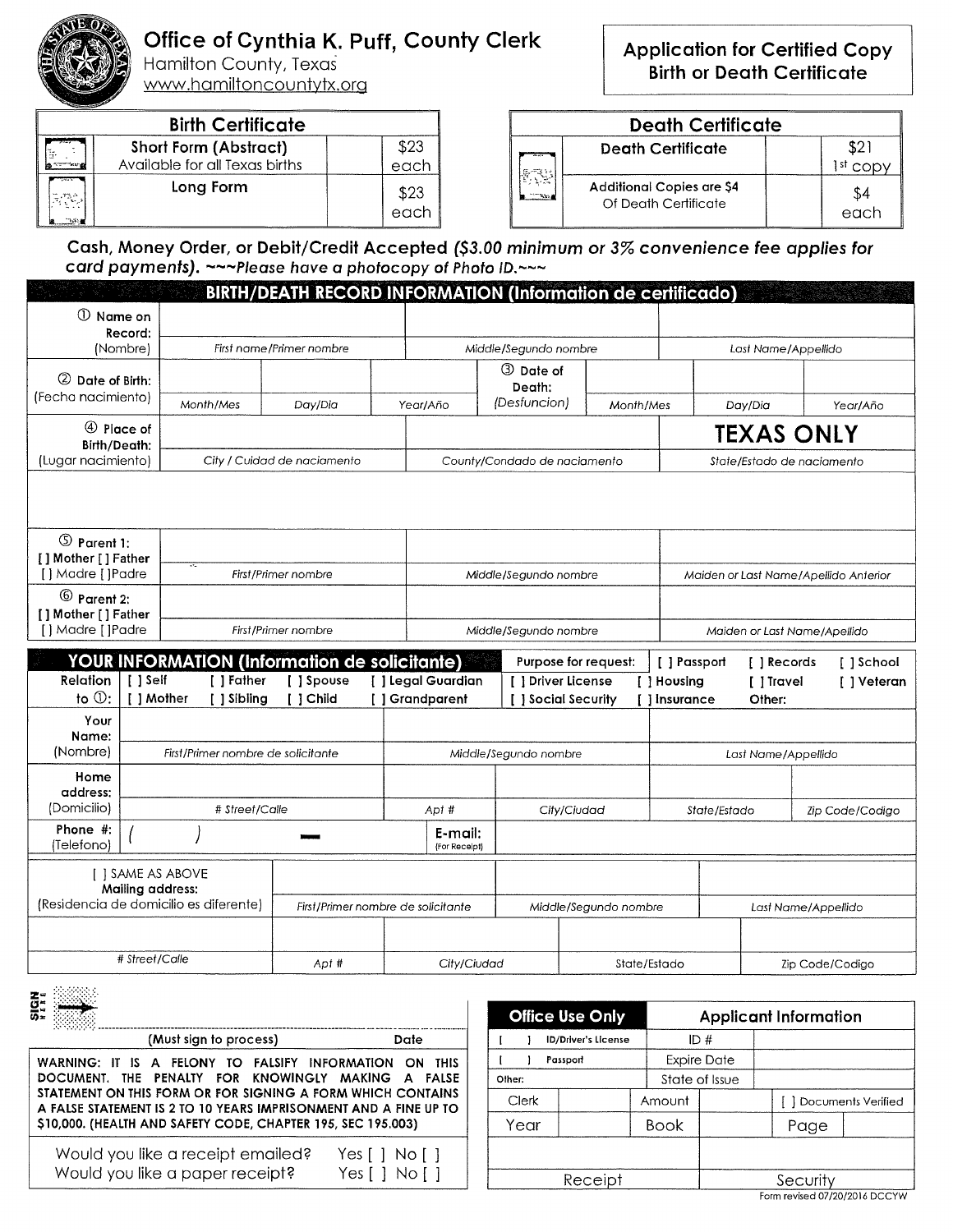

## Office of Cynthia K. Puff, County Clerk

Hamilton County, Texas <u>www.hamiltoncountytx.org</u>

| <b>Birth Certificate</b> |                                                                |                            |  |  |
|--------------------------|----------------------------------------------------------------|----------------------------|--|--|
|                          | <b>Short Form (Abstract)</b><br>Available for all Texas births | \$23<br>$\frac{1}{1}$ each |  |  |
|                          | Long Form                                                      | \$23<br>$\frac{1}{1}$ each |  |  |

| <b>Application for Certified Copy</b> |
|---------------------------------------|
| <b>Birth or Death Certificate</b>     |

| <b>Death Certificate</b> |                                                          |      |  |  |
|--------------------------|----------------------------------------------------------|------|--|--|
|                          | <b>Death Certificate</b>                                 |      |  |  |
|                          | <b>Additional Copies are \$4</b><br>Of Death Certificate | each |  |  |

**Cash, Money Order, or Debit/Credit Accepted** *(\$3.00 minimum or 3% convenience fee applies for card payments). —~Please have a photocopy of Photo ID.----*

|                                                         |                  |                                                                                  |                                    |                                      |                                           | <b>BIRTH/DEATH RECORD INFORMATION (Information de certificado)</b> |                              |                                       |                            |                     |
|---------------------------------------------------------|------------------|----------------------------------------------------------------------------------|------------------------------------|--------------------------------------|-------------------------------------------|--------------------------------------------------------------------|------------------------------|---------------------------------------|----------------------------|---------------------|
| $\mathbb O$ Name on                                     |                  |                                                                                  |                                    |                                      |                                           |                                                                    |                              |                                       |                            |                     |
| Record:<br>(Nombre)                                     |                  | First name/Primer nombre                                                         |                                    | Middle/Segundo nombre                |                                           |                                                                    | Last Name/Appellido          |                                       |                            |                     |
|                                                         |                  |                                                                                  |                                    |                                      |                                           | 3 Date of                                                          |                              |                                       |                            |                     |
| 2 Date of Birth:<br>(Fecha nacimiento)                  |                  |                                                                                  |                                    |                                      |                                           | Death:                                                             |                              |                                       |                            |                     |
| Month/Mes                                               |                  | Day/Dia                                                                          |                                    | Year/Año                             | (Desfuncion)                              | Month/Mes                                                          |                              | Day/Dia                               | Year/Año                   |                     |
| 4 Place of<br><b>Birth/Death:</b>                       |                  |                                                                                  |                                    |                                      |                                           |                                                                    | <b>TEXAS ONLY</b>            |                                       |                            |                     |
| (Lugar nacimiento)                                      |                  |                                                                                  | City / Cuidad de naciamento        |                                      |                                           | County/Condado de naciamento                                       |                              |                                       | State/Estado de naciamento |                     |
|                                                         |                  |                                                                                  |                                    |                                      |                                           |                                                                    |                              |                                       |                            |                     |
|                                                         |                  |                                                                                  |                                    |                                      |                                           |                                                                    |                              |                                       |                            |                     |
| <b>5</b> Parent 1:                                      |                  |                                                                                  |                                    |                                      |                                           |                                                                    |                              |                                       |                            |                     |
| [] Mother [] Father<br>[] Madre [] Padre                |                  |                                                                                  | First/Primer nombre                |                                      |                                           | Middle/Segundo nombre                                              |                              | Maiden or Last Name/Apellido Anterior |                            |                     |
| $\circledcirc$ Parent 2:                                |                  |                                                                                  |                                    |                                      |                                           |                                                                    |                              |                                       |                            |                     |
| [] Mother [] Father                                     |                  |                                                                                  |                                    |                                      |                                           |                                                                    |                              |                                       |                            |                     |
| [] Madre [] Padre<br>First/Primer nombre                |                  |                                                                                  | Middle/Segundo nombre              |                                      |                                           | Maiden or Last Name/Apellido                                       |                              |                                       |                            |                     |
| <b>YOUR INFORMATION (Information de solicitante)</b>    |                  |                                                                                  |                                    | Purpose for request:                 |                                           | [ ] Passport                                                       | [ ] Records                  | [ ] School                            |                            |                     |
| Relation<br>to $\mathbb{O}$ :                           |                  | [ ] Self<br>[ ] Father<br>[ ] Spouse<br>$[ ]$ Child<br>  ] Mother<br>[ ] Sibling |                                    | [ ] Legal Guardian<br>[] Grandparent | [ ] Driver License<br>[ ] Social Security |                                                                    | [ ] Housing<br>[ ] Insurance | [ ] Travel<br>Other:                  | [ ] Veteran                |                     |
| Your                                                    |                  |                                                                                  |                                    |                                      |                                           |                                                                    |                              |                                       |                            |                     |
| Name:<br>(Nombre)<br>First/Primer nombre de solicitante |                  |                                                                                  |                                    |                                      |                                           |                                                                    |                              |                                       |                            |                     |
|                                                         |                  |                                                                                  |                                    |                                      |                                           |                                                                    |                              |                                       |                            |                     |
| Home<br>address:                                        |                  |                                                                                  |                                    |                                      |                                           | Middle/Segundo nombre                                              |                              |                                       | Last Name/Appellido        |                     |
|                                                         |                  |                                                                                  |                                    |                                      |                                           |                                                                    |                              |                                       |                            |                     |
| (Domicilio)                                             |                  | # Street/Calle                                                                   |                                    |                                      | Apt #                                     | City/Ciudad                                                        |                              |                                       | State/Estado               | Zip Code/Codigo     |
| Phone #:<br>(Telefono)                                  |                  |                                                                                  |                                    |                                      | E-mail:<br>(For Receipt)                  |                                                                    |                              |                                       |                            |                     |
|                                                         |                  | <b>I 1 SAME AS ABOVE</b>                                                         |                                    |                                      |                                           |                                                                    |                              |                                       |                            |                     |
|                                                         | Mailing address: | (Residencia de domicilio es diferente)                                           | First/Primer nombre de solicitante |                                      |                                           |                                                                    | Middle/Segundo nombre        |                                       |                            | Last Name/Appellido |
|                                                         |                  |                                                                                  |                                    |                                      |                                           |                                                                    |                              |                                       |                            |                     |
|                                                         | # Street/Calle   |                                                                                  | Apt #                              |                                      | City/Ciudad                               |                                                                    | State/Estado                 |                                       |                            | Zip Code/Codigo     |

| (Must sign to process)                                                                                                                                                                                                                                                                                          | Date                          |
|-----------------------------------------------------------------------------------------------------------------------------------------------------------------------------------------------------------------------------------------------------------------------------------------------------------------|-------------------------------|
| WARNING: IT IS A FELONY TO FALSIFY INFORMATION ON THIS<br>DOCUMENT. THE PENALTY FOR KNOWINGLY MAKING A FALSE<br>STATEMENT ON THIS FORM OR FOR SIGNING A FORM WHICH CONTAINS<br>A FALSE STATEMENT IS 2 TO 10 YEARS IMPRISONMENT AND A FINE UP TO<br>\$10,000. (HEALTH AND SAFETY CODE, CHAPTER 195, SEC 195.003) |                               |
| Would you like a receipt emailed?<br>Would you like a paper receipt?                                                                                                                                                                                                                                            | Yes[] No[]<br>No [ 1<br>Yes I |

|          | <b>Office Use Only</b>     |             |                    | <b>Applicant Information</b>  |                    |
|----------|----------------------------|-------------|--------------------|-------------------------------|--------------------|
|          | <b>ID/Driver's License</b> |             | ID#                |                               |                    |
| Passport |                            |             | <b>Expire Date</b> |                               |                    |
| Other:   |                            |             | State of Issue     |                               |                    |
| Clerk    |                            | Amount      |                    |                               | Documents Verified |
| Year     |                            | <b>Book</b> |                    | Page                          |                    |
|          |                            |             |                    |                               |                    |
|          |                            |             | Security           |                               |                    |
|          |                            |             |                    | Form revised 07/20/2016 DCCYW |                    |